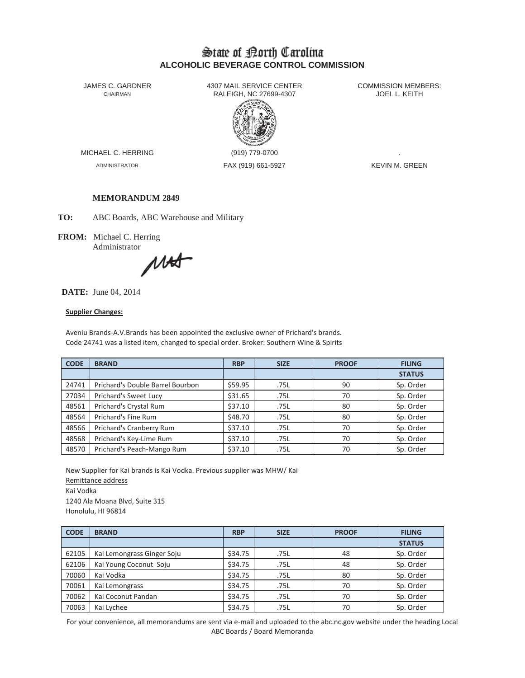# State of Borth Carolina **ALCOHOLIC BEVERAGE CONTROL COMMISSION**

JAMES C. GARDNER 4307 MAIL SERVICE CENTER<br>CHAIRMAN CHAIRMAN RALEIGH, NC 27699-4307 RALEIGH, NC 27699-4307



MICHAEL C. HERRING (919) 779-0700

ADMINISTRATOR FAX (919) 661-5927 KEVIN M. GREEN

## **MEMORANDUM 2849**

**TO:** ABC Boards, ABC Warehouse and Military

**FROM:** Michael C. Herring Administrator

MAS

### **DATE:** June 04, 2014

#### **Supplier Changes:**

Aveniu Brands-A.V.Brands has been appointed the exclusive owner of Prichard's brands. Code 24741 was a listed item, changed to special order. Broker: Southern Wine & Spirits

| <b>CODE</b> | <b>BRAND</b>                     | <b>RBP</b> | <b>SIZE</b> | <b>PROOF</b> | <b>FILING</b> |
|-------------|----------------------------------|------------|-------------|--------------|---------------|
|             |                                  |            |             |              | <b>STATUS</b> |
| 24741       | Prichard's Double Barrel Bourbon | \$59.95    | .75L        | 90           | Sp. Order     |
| 27034       | Prichard's Sweet Lucy            | \$31.65    | .75L        | 70           | Sp. Order     |
| 48561       | Prichard's Crystal Rum           | \$37.10    | .75L        | 80           | Sp. Order     |
| 48564       | Prichard's Fine Rum              | \$48.70    | .75L        | 80           | Sp. Order     |
| 48566       | Prichard's Cranberry Rum         | \$37.10    | .75L        | 70           | Sp. Order     |
| 48568       | Prichard's Key-Lime Rum          | \$37.10    | .75L        | 70           | Sp. Order     |
| 48570       | Prichard's Peach-Mango Rum       | \$37.10    | .75L        | 70           | Sp. Order     |

New Supplier for Kai brands is Kai Vodka. Previous supplier was MHW/ Kai Remittance address Kai Vodka 1240 Ala Moana Blvd, Suite 315 Honolulu, HI 96814

| <b>CODE</b> | <b>BRAND</b>               | <b>RBP</b> | <b>SIZE</b> | <b>PROOF</b> | <b>FILING</b> |
|-------------|----------------------------|------------|-------------|--------------|---------------|
|             |                            |            |             |              | <b>STATUS</b> |
| 62105       | Kai Lemongrass Ginger Soju | \$34.75    | .75L        | 48           | Sp. Order     |
| 62106       | Kai Young Coconut Soju     | \$34.75    | .75L        | 48           | Sp. Order     |
| 70060       | Kai Vodka                  | \$34.75    | .75L        | 80           | Sp. Order     |
| 70061       | Kai Lemongrass             | \$34.75    | .75L        | 70           | Sp. Order     |
| 70062       | Kai Coconut Pandan         | \$34.75    | .75L        | 70           | Sp. Order     |
| 70063       | Kai Lychee                 | \$34.75    | .75L        | 70           | Sp. Order     |

For your convenience, all memorandums are sent via e-mail and uploaded to the abc.nc.gov website under the heading Local ABC Boards / Board Memoranda